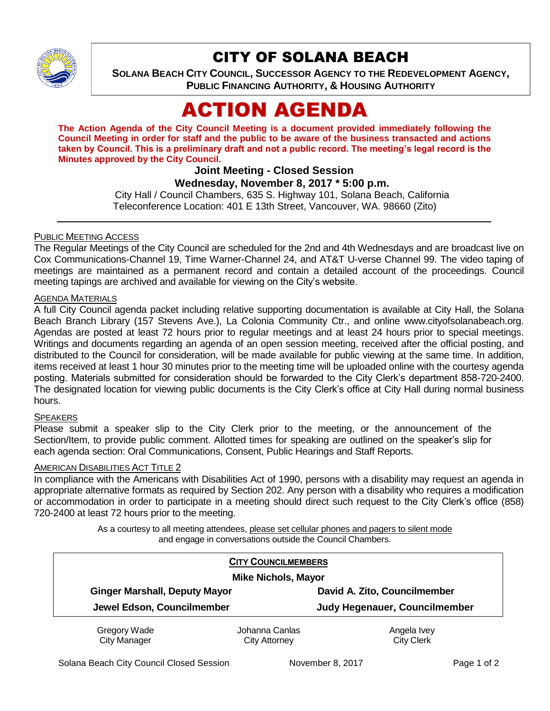

# CITY OF SOLANA BEACH

**SOLANA BEACH CITY COUNCIL, SUCCESSOR AGENCY TO THE REDEVELOPMENT AGENCY, PUBLIC FINANCING AUTHORITY, & HOUSING AUTHORITY** 

# ACTION AGENDA

**The Action Agenda of the City Council Meeting is a document provided immediately following the Council Meeting in order for staff and the public to be aware of the business transacted and actions taken by Council. This is a preliminary draft and not a public record. The meeting's legal record is the Minutes approved by the City Council.**

# **Joint Meeting - Closed Session**

#### **Wednesday, November 8, 2017 \* 5:00 p.m.**

City Hall / Council Chambers, 635 S. Highway 101, Solana Beach, California Teleconference Location: 401 E 13th Street, Vancouver, WA. 98660 (Zito)

#### PUBLIC MEETING ACCESS

The Regular Meetings of the City Council are scheduled for the 2nd and 4th Wednesdays and are broadcast live on Cox Communications-Channel 19, Time Warner-Channel 24, and AT&T U-verse Channel 99. The video taping of meetings are maintained as a permanent record and contain a detailed account of the proceedings. Council meeting tapings are archived and available for viewing on the City's website.

## AGENDA MATERIALS

A full City Council agenda packet including relative supporting documentation is available at City Hall, the Solana Beach Branch Library (157 Stevens Ave.), La Colonia Community Ctr., and online www.cityofsolanabeach.org. Agendas are posted at least 72 hours prior to regular meetings and at least 24 hours prior to special meetings. Writings and documents regarding an agenda of an open session meeting, received after the official posting, and distributed to the Council for consideration, will be made available for public viewing at the same time. In addition, items received at least 1 hour 30 minutes prior to the meeting time will be uploaded online with the courtesy agenda posting. Materials submitted for consideration should be forwarded to the City Clerk's department 858-720-2400. The designated location for viewing public documents is the City Clerk's office at City Hall during normal business hours.

#### **SPEAKERS**

Please submit a speaker slip to the City Clerk prior to the meeting, or the announcement of the Section/Item, to provide public comment. Allotted times for speaking are outlined on the speaker's slip for each agenda section: Oral Communications, Consent, Public Hearings and Staff Reports.

#### AMERICAN DISABILITIES ACT TITLE 2

In compliance with the Americans with Disabilities Act of 1990, persons with a disability may request an agenda in appropriate alternative formats as required by Section 202. Any person with a disability who requires a modification or accommodation in order to participate in a meeting should direct such request to the City Clerk's office (858) 720-2400 at least 72 hours prior to the meeting.

> As a courtesy to all meeting attendees, please set cellular phones and pagers to silent mode and engage in conversations outside the Council Chambers.

| <b>CITY COUNCILMEMBERS</b><br><b>Mike Nichols, Mayor</b> |                |                                      |
|----------------------------------------------------------|----------------|--------------------------------------|
|                                                          |                |                                      |
| Jewel Edson, Councilmember                               |                | <b>Judy Hegenauer, Councilmember</b> |
| Gregory Wade                                             | Johanna Canlas | Angela Ivey                          |
| <b>City Manager</b>                                      | City Attorney  | <b>City Clerk</b>                    |